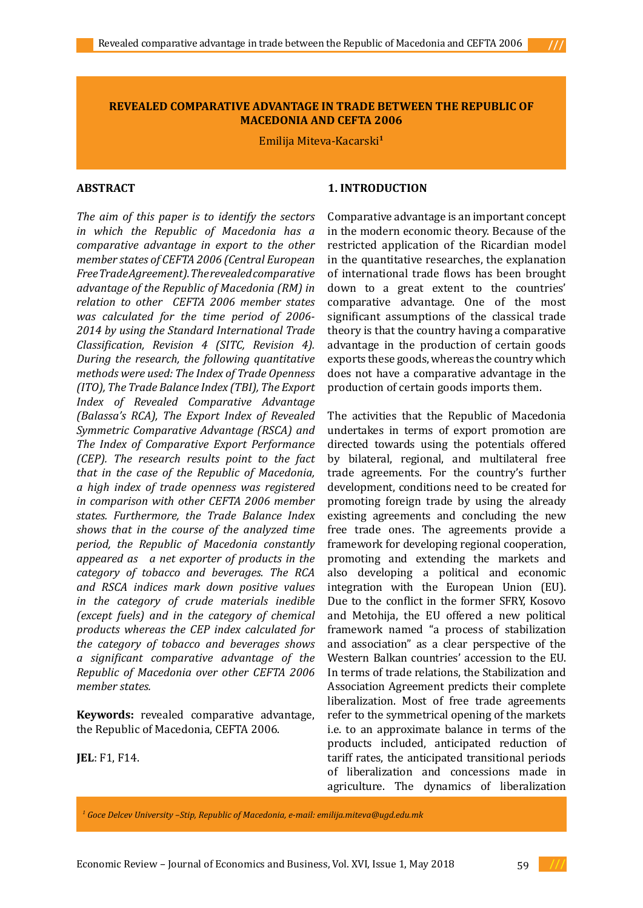## **REVEALED COMPARATIVE ADVANTAGE IN TRADE BETWEEN THE REPUBLIC OF MACEDONIA AND CEFTA 2006**

Emilija Miteva-Kacarski**<sup>1</sup>**

## **ABSTRACT**

*The aim of this paper is to identify the sectors in which the Republic of Macedonia has a comparative advantage in export to the other member states of CEFTA 2006 (Central European Free Trade Agreement). The revealed comparative advantage of the Republic of Macedonia (RM) in relation to other CEFTA 2006 member states was calculated for the time period of 2006- 2014 by using the Standard International Trade Classification, Revision 4 (SITC, Revision 4). During the research, the following quantitative methods were used: The Index of Trade Openness (ITO), The Trade Balance Index (TBI), The Export Index of Revealed Comparative Advantage (Balassa's RCA), The Export Index of Revealed Symmetric Comparative Advantage (RSCA) and The Index of Comparative Export Performance (CEP). The research results point to the fact that in the case of the Republic of Macedonia, a high index of trade openness was registered in comparison with other CEFTA 2006 member states. Furthermore, the Trade Balance Index shows that in the course of the analyzed time period, the Republic of Macedonia constantly appeared as a net exporter of products in the category of tobacco and beverages. The RCA and RSCA indices mark down positive values in the category of crude materials inedible (except fuels) and in the category of chemical products whereas the CEP index calculated for the category of tobacco and beverages shows a significant comparative advantage of the Republic of Macedonia over other CEFTA 2006 member states.* 

**Keywords:** revealed comparative advantage, the Republic of Macedonia, CEFTA 2006.

**JEL**: F1, F14.

### **1. INTRODUCTION**

Comparative advantage is an important concept in the modern economic theory. Because of the restricted application of the Ricardian model in the quantitative researches, the explanation of international trade flows has been brought down to a great extent to the countries' comparative advantage. One of the most significant assumptions of the classical trade theory is that the country having a comparative advantage in the production of certain goods exports these goods, whereas the country which does not have a comparative advantage in the production of certain goods imports them.

The activities that the Republic of Macedonia undertakes in terms of export promotion are directed towards using the potentials offered by bilateral, regional, and multilateral free trade agreements. For the country's further development, conditions need to be created for promoting foreign trade by using the already existing agreements and concluding the new free trade ones. The agreements provide a framework for developing regional cooperation, promoting and extending the markets and also developing a political and economic integration with the European Union (EU). Due to the conflict in the former SFRY, Kosovo and Metohija, the EU offered a new political framework named "a process of stabilization and association" as a clear perspective of the Western Balkan countries' accession to the EU. In terms of trade relations, the Stabilization and Association Agreement predicts their complete liberalization. Most of free trade agreements refer to the symmetrical opening of the markets i.e. to an approximate balance in terms of the products included, anticipated reduction of tariff rates, the anticipated transitional periods of liberalization and concessions made in agriculture. The dynamics of liberalization

*1 Goce Delcev University –Stip, Republic of Macedonia, e-mail: emilija.miteva@ugd.edu.mk*

Economic Review – Journal of Economics and Business, Vol. XVI, Issue 1, May 2018 **///**

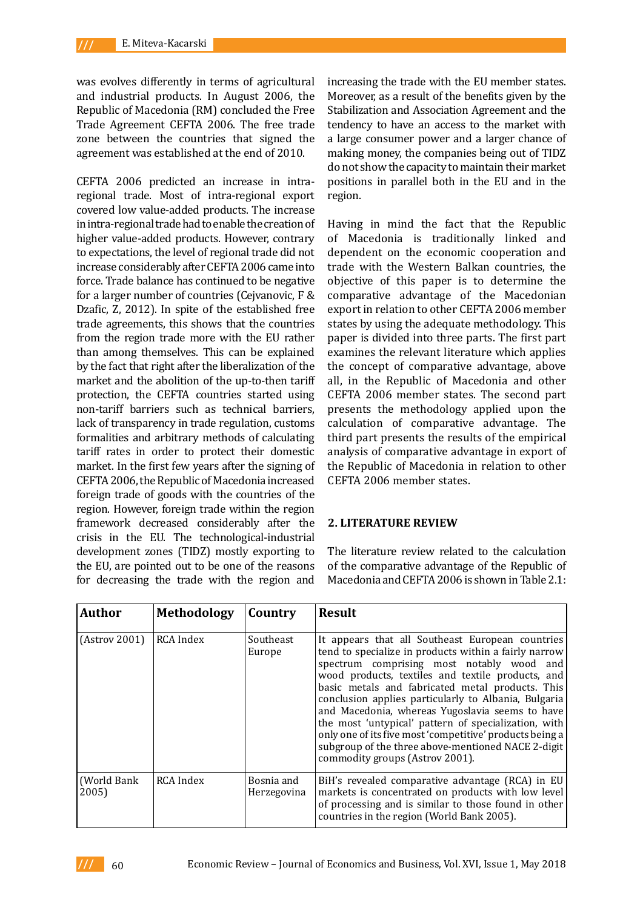was evolves differently in terms of agricultural and industrial products. In August 2006, the Republic of Macedonia (RM) concluded the Free Trade Agreement CEFTA 2006. The free trade zone between the countries that signed the agreement was established at the end of 2010.

CEFTA 2006 predicted an increase in intraregional trade. Most of intra-regional export covered low value-added products. The increase in intra-regional trade had to enable the creation of higher value-added products. However, contrary to expectations, the level of regional trade did not increase considerably after CEFTA 2006 came into force. Trade balance has continued to be negative for a larger number of countries (Cejvanovic, F & Dzafic, Z, 2012). In spite of the established free trade agreements, this shows that the countries from the region trade more with the EU rather than among themselves. This can be explained by the fact that right after the liberalization of the market and the abolition of the up-to-then tariff protection, the CEFTA countries started using non-tariff barriers such as technical barriers, lack of transparency in trade regulation, customs formalities and arbitrary methods of calculating tariff rates in order to protect their domestic market. In the first few years after the signing of CEFTA 2006, the Republic of Macedonia increased foreign trade of goods with the countries of the region. However, foreign trade within the region framework decreased considerably after the crisis in the EU. The technological-industrial development zones (TIDZ) mostly exporting to the EU, are pointed out to be one of the reasons for decreasing the trade with the region and

increasing the trade with the EU member states. Moreover, as a result of the benefits given by the Stabilization and Association Agreement and the tendency to have an access to the market with a large consumer power and a larger chance of making money, the companies being out of TIDZ do not show the capacity to maintain their market positions in parallel both in the EU and in the region.

Having in mind the fact that the Republic of Macedonia is traditionally linked and dependent on the economic cooperation and trade with the Western Balkan countries, the objective of this paper is to determine the comparative advantage of the Macedonian export in relation to other CEFTA 2006 member states by using the adequate methodology. This paper is divided into three parts. The first part examines the relevant literature which applies the concept of comparative advantage, above all, in the Republic of Macedonia and other CEFTA 2006 member states. The second part presents the methodology applied upon the calculation of comparative advantage. The third part presents the results of the empirical analysis of comparative advantage in export of the Republic of Macedonia in relation to other CEFTA 2006 member states.

## **2. LITERATURE REVIEW**

The literature review related to the calculation of the comparative advantage of the Republic of Macedonia and CEFTA 2006 is shown in Table 2.1:

| Author                | <b>Methodology</b> | Country                   | <b>Result</b>                                                                                                                                                                                                                                                                                                                                                                                                                                                                                                                                                                           |
|-----------------------|--------------------|---------------------------|-----------------------------------------------------------------------------------------------------------------------------------------------------------------------------------------------------------------------------------------------------------------------------------------------------------------------------------------------------------------------------------------------------------------------------------------------------------------------------------------------------------------------------------------------------------------------------------------|
| (Astrov 2001)         | RCA Index          | Southeast<br>Europe       | It appears that all Southeast European countries<br>tend to specialize in products within a fairly narrow<br>spectrum comprising most notably wood and<br>wood products, textiles and textile products, and<br>basic metals and fabricated metal products. This<br>conclusion applies particularly to Albania, Bulgaria<br>and Macedonia, whereas Yugoslavia seems to have<br>the most 'untypical' pattern of specialization, with<br>only one of its five most 'competitive' products being a<br>subgroup of the three above-mentioned NACE 2-digit<br>commodity groups (Astrov 2001). |
| (World Bank)<br>2005) | <b>RCA</b> Index   | Bosnia and<br>Herzegovina | BiH's revealed comparative advantage (RCA) in EU<br>markets is concentrated on products with low level<br>of processing and is similar to those found in other<br>countries in the region (World Bank 2005).                                                                                                                                                                                                                                                                                                                                                                            |

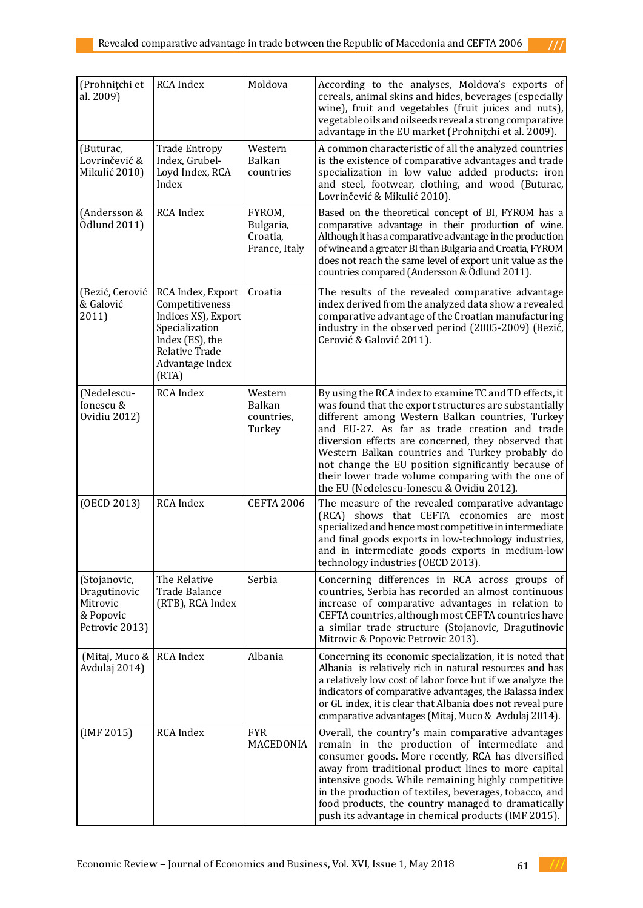| (Prohnițchi et<br>al. 2009)                                             | RCA Index                                                                                                                                             | Moldova                                          | According to the analyses, Moldova's exports of<br>cereals, animal skins and hides, beverages (especially<br>wine), fruit and vegetables (fruit juices and nuts),<br>vegetable oils and oilseeds reveal a strong comparative<br>advantage in the EU market (Prohnițchi et al. 2009).                                                                                                                                                                                                       |
|-------------------------------------------------------------------------|-------------------------------------------------------------------------------------------------------------------------------------------------------|--------------------------------------------------|--------------------------------------------------------------------------------------------------------------------------------------------------------------------------------------------------------------------------------------------------------------------------------------------------------------------------------------------------------------------------------------------------------------------------------------------------------------------------------------------|
| (Buturac,<br>Lovrinčević &<br>Mikulić 2010)                             | <b>Trade Entropy</b><br>Index, Grubel-<br>Loyd Index, RCA<br>Index                                                                                    | Western<br><b>Balkan</b><br>countries            | A common characteristic of all the analyzed countries<br>is the existence of comparative advantages and trade<br>specialization in low value added products: iron<br>and steel, footwear, clothing, and wood (Buturac,<br>Lovrinčević & Mikulić 2010).                                                                                                                                                                                                                                     |
| (Andersson &<br>Ödlund 2011)                                            | <b>RCA</b> Index                                                                                                                                      | FYROM,<br>Bulgaria,<br>Croatia,<br>France, Italy | Based on the theoretical concept of BI, FYROM has a<br>comparative advantage in their production of wine.<br>Although it has a comparative advantage in the production<br>of wine and a greater BI than Bulgaria and Croatia, FYROM<br>does not reach the same level of export unit value as the<br>countries compared (Andersson & Ödlund 2011).                                                                                                                                          |
| (Bezić, Cerović<br>& Galović<br>2011)                                   | RCA Index, Export<br>Competitiveness<br>Indices XS), Export<br>Specialization<br>Index (ES), the<br><b>Relative Trade</b><br>Advantage Index<br>(RTA) | Croatia                                          | The results of the revealed comparative advantage<br>index derived from the analyzed data show a revealed<br>comparative advantage of the Croatian manufacturing<br>industry in the observed period (2005-2009) (Bezić,<br>Cerović & Galović 2011).                                                                                                                                                                                                                                        |
| (Nedelescu-<br>Ionescu &<br>Ovidiu 2012)                                | <b>RCA</b> Index                                                                                                                                      | Western<br>Balkan<br>countries,<br>Turkey        | By using the RCA index to examine TC and TD effects, it<br>was found that the export structures are substantially<br>different among Western Balkan countries, Turkey<br>and EU-27. As far as trade creation and trade<br>diversion effects are concerned, they observed that<br>Western Balkan countries and Turkey probably do<br>not change the EU position significantly because of<br>their lower trade volume comparing with the one of<br>the EU (Nedelescu-Ionescu & Ovidiu 2012). |
| (OECD 2013)                                                             | <b>RCA</b> Index                                                                                                                                      | <b>CEFTA 2006</b>                                | The measure of the revealed comparative advantage<br>(RCA) shows that CEFTA economies are most<br>specialized and hence most competitive in intermediate<br>and final goods exports in low-technology industries,<br>and in intermediate goods exports in medium-low<br>technology industries (OECD 2013).                                                                                                                                                                                 |
| (Stojanovic,<br>Dragutinovic<br>Mitrovic<br>& Popovic<br>Petrovic 2013) | The Relative<br>Trade Balance<br>(RTB), RCA Index                                                                                                     | Serbia                                           | Concerning differences in RCA across groups of<br>countries, Serbia has recorded an almost continuous<br>increase of comparative advantages in relation to<br>CEFTA countries, although most CEFTA countries have<br>a similar trade structure (Stojanovic, Dragutinovic<br>Mitrovic & Popovic Petrovic 2013).                                                                                                                                                                             |
| (Mitaj, Muco &   RCA Index<br>Avdulaj 2014)                             |                                                                                                                                                       | Albania                                          | Concerning its economic specialization, it is noted that<br>Albania is relatively rich in natural resources and has<br>a relatively low cost of labor force but if we analyze the<br>indicators of comparative advantages, the Balassa index<br>or GL index, it is clear that Albania does not reveal pure<br>comparative advantages (Mitaj, Muco & Avdulaj 2014).                                                                                                                         |
| (IMF 2015)                                                              | RCA Index                                                                                                                                             | <b>FYR</b><br>MACEDONIA                          | Overall, the country's main comparative advantages<br>remain in the production of intermediate and<br>consumer goods. More recently, RCA has diversified<br>away from traditional product lines to more capital<br>intensive goods. While remaining highly competitive<br>in the production of textiles, beverages, tobacco, and<br>food products, the country managed to dramatically<br>push its advantage in chemical products (IMF 2015).                                              |

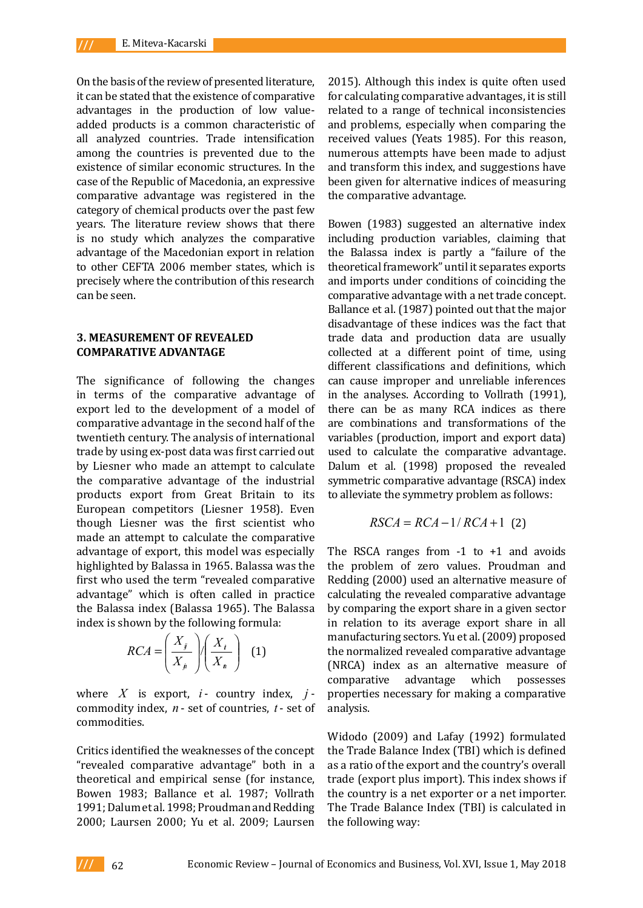On the basis of the review of presented literature, it can be stated that the existence of comparative advantages in the production of low valueadded products is a common characteristic of all analyzed countries. Trade intensification among the countries is prevented due to the existence of similar economic structures. In the case of the Republic of Macedonia, an expressive comparative advantage was registered in the category of chemical products over the past few years. The literature review shows that there is no study which analyzes the comparative advantage of the Macedonian export in relation to other CEFTA 2006 member states, which is precisely where the contribution of this research can be seen.

#### **3. MEASUREMENT OF REVEALED COMPARATIVE ADVANTAGE**

The significance of following the changes in terms of the comparative advantage of export led to the development of a model of comparative advantage in the second half of the twentieth century. The analysis of international trade by using ex-post data was first carried out by Liesner who made an attempt to calculate the comparative advantage of the industrial products export from Great Britain to its European competitors (Liesner 1958). Even though Liesner was the first scientist who made an attempt to calculate the comparative advantage of export, this model was especially highlighted by Balassa in 1965. Balassa was the first who used the term "revealed comparative advantage" which is often called in practice the Balassa index (Balassa 1965). The Balassa index is shown by the following formula:

$$
RCA = \left(\frac{X_j}{X_p}\right) / \left(\frac{X_t}{X_n}\right) \tag{1}
$$

where  $X$  is export,  $i$ - country index,  $j$ commodity index, *n* - set of countries, *t* - set of commodities.

Critics identified the weaknesses of the concept "revealed comparative advantage" both in a theoretical and empirical sense (for instance, Bowen 1983; Ballance et al. 1987; Vollrath 1991; Dalum et al. 1998; Proudman and Redding 2000; Laursen 2000; Yu et al. 2009; Laursen

2015). Although this index is quite often used for calculating comparative advantages, it is still related to a range of technical inconsistencies and problems, especially when comparing the received values (Yeats 1985). For this reason, numerous attempts have been made to adjust and transform this index, and suggestions have been given for alternative indices of measuring the comparative advantage.

Bowen (1983) suggested an alternative index including production variables, claiming that the Balassa index is partly a "failure of the theoretical framework" until it separates exports and imports under conditions of coinciding the comparative advantage with a net trade concept. Ballance et al. (1987) pointed out that the major disadvantage of these indices was the fact that trade data and production data are usually collected at a different point of time, using different classifications and definitions, which can cause improper and unreliable inferences in the analyses. According to Vollrath (1991), there can be as many RCA indices as there are combinations and transformations of the variables (production, import and export data) used to calculate the comparative advantage. Dalum et al. (1998) proposed the revealed symmetric comparative advantage (RSCA) index to alleviate the symmetry problem as follows:

$$
RSCA = RCA - 1/RCA + 1 (2)
$$

The RSCA ranges from  $-1$  to  $+1$  and avoids the problem of zero values. Proudman and Redding (2000) used an alternative measure of calculating the revealed comparative advantage by comparing the export share in a given sector in relation to its average export share in all manufacturing sectors. Yu et al. (2009) proposed the normalized revealed comparative advantage (NRCA) index as an alternative measure of comparative advantage which possesses comparative properties necessary for making a comparative analysis.

Widodo (2009) and Lafay (1992) formulated the Trade Balance Index (TBI) which is defined as a ratio of the export and the country's overall trade (export plus import). This index shows if the country is a net exporter or a net importer. The Trade Balance Index (TBI) is calculated in the following way: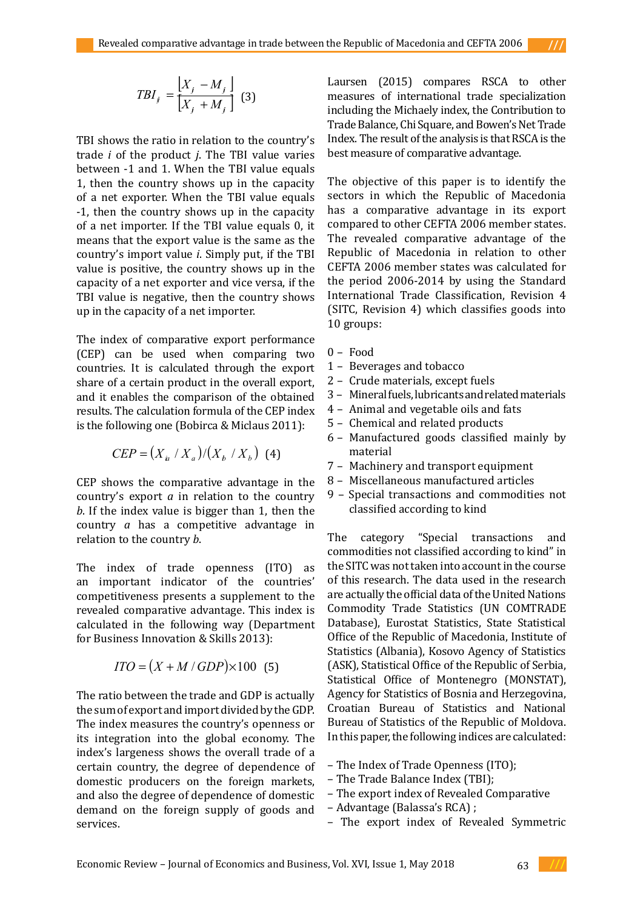$$
TBI_j = \frac{\begin{bmatrix} X_j - M_j \end{bmatrix}}{\begin{bmatrix} X_j + M_j \end{bmatrix}} \tag{3}
$$

TBI shows the ratio in relation to the country's trade *i* of the product *j*. The TBI value varies between -1 and 1. When the TBI value equals 1, then the country shows up in the capacity of a net exporter. When the TBI value equals -1, then the country shows up in the capacity of a net importer. If the TBI value equals 0, it means that the export value is the same as the country's import value *i*. Simply put, if the TBI value is positive, the country shows up in the capacity of a net exporter and vice versa, if the TBI value is negative, then the country shows up in the capacity of a net importer.

The index of comparative export performance (CEP) can be used when comparing two countries. It is calculated through the export share of a certain product in the overall export, and it enables the comparison of the obtained results. The calculation formula of the CEP index is the following one (Bobirca & Miclaus 2011):

$$
CEP = (X_{i} / X_{a}) / (X_{b} / X_{b})
$$
 (4)

CEP shows the comparative advantage in the country's export *a* in relation to the country *b*. If the index value is bigger than 1, then the country *a* has a competitive advantage in relation to the country *b*.

The index of trade openness (ITO) as an important indicator of the countries' competitiveness presents a supplement to the revealed comparative advantage. This index is calculated in the following way (Department for Business Innovation & Skills 2013):

$$
ITO = (X + M / GDP) \times 100 \text{ (5)}
$$

The ratio between the trade and GDP is actually the sum of export and import divided by the GDP. The index measures the country's openness or its integration into the global economy. The index's largeness shows the overall trade of a certain country, the degree of dependence of domestic producers on the foreign markets, and also the degree of dependence of domestic demand on the foreign supply of goods and services.

Laursen (2015) compares RSCA to other measures of international trade specialization including the Michaely index, the Contribution to Trade Balance, Chi Square, and Bowen's Net Trade Index. The result of the analysis is that RSCA is the best measure of comparative advantage.

The objective of this paper is to identify the sectors in which the Republic of Macedonia has a comparative advantage in its export compared to other CEFTA 2006 member states. The revealed comparative advantage of the Republic of Macedonia in relation to other CEFTA 2006 member states was calculated for the period 2006-2014 by using the Standard International Trade Classification, Revision 4 (SITC, Revision 4) which classifies goods into 10 groups:

- 0 Food
- 1 Beverages and tobacco
- 2 Crude materials, except fuels
- 3 Mineral fuels, lubricants and related materials
- 4 Animal and vegetable oils and fats
- 5 Chemical and related products
- 6 Manufactured goods classified mainly by material
- 7 Machinery and transport equipment
- 8 Miscellaneous manufactured articles
- 9 Special transactions and commodities not classified according to kind

The category "Special transactions and commodities not classified according to kind" in the SITC was not taken into account in the course of this research. The data used in the research are actually the official data of the United Nations Commodity Trade Statistics (UN COMTRADE Database), Eurostat Statistics, State Statistical Office of the Republic of Macedonia, Institute of Statistics (Albania), Kosovo Agency of Statistics (ASK), Statistical Office of the Republic of Serbia, Statistical Office of Montenegro (MONSTAT), Agency for Statistics of Bosnia and Herzegovina, Croatian Bureau of Statistics and National Bureau of Statistics of the Republic of Moldova. In this paper, the following indices are calculated:

- The Index of Trade Openness (ITO);
- The Trade Balance Index (TBI);
- The export index of Revealed Comparative
- Advantage (Balassa's RCA) ;
- The export index of Revealed Symmetric

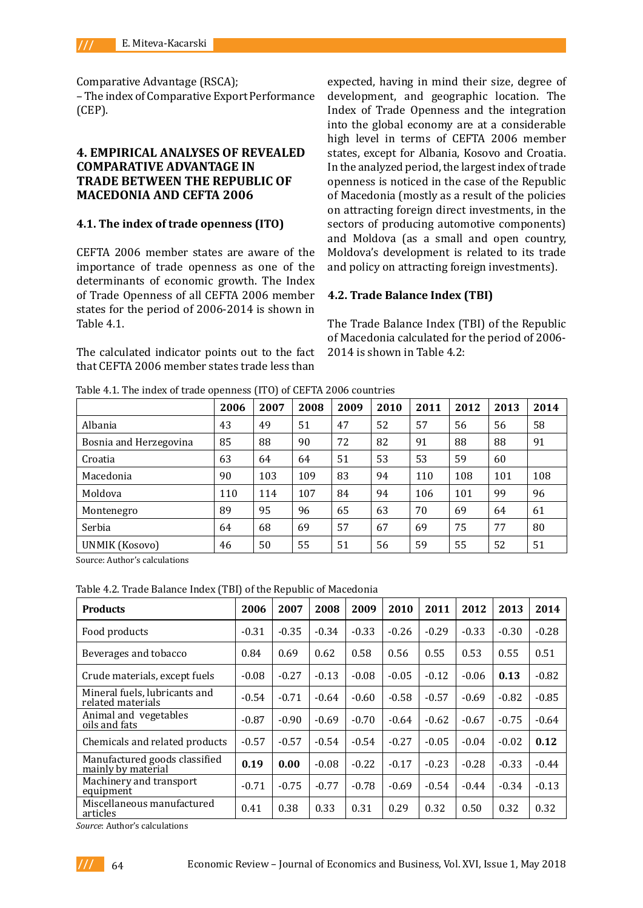Comparative Advantage (RSCA);

– The index of Comparative Export Performance (CEP).

## **4. EMPIRICAL ANALYSES OF REVEALED COMPARATIVE ADVANTAGE IN TRADE BETWEEN THE REPUBLIC OF MACEDONIA AND CEFTA 2006**

## **4.1. The index of trade openness (ITO)**

CEFTA 2006 member states are aware of the importance of trade openness as one of the determinants of economic growth. The Index of Trade Openness of all CEFTA 2006 member states for the period of 2006-2014 is shown in Table 4.1.

The calculated indicator points out to the fact that CEFTA 2006 member states trade less than

expected, having in mind their size, degree of development, and geographic location. The Index of Trade Openness and the integration into the global economy are at a considerable high level in terms of CEFTA 2006 member states, except for Albania, Kosovo and Croatia. In the analyzed period, the largest index of trade openness is noticed in the case of the Republic of Macedonia (mostly as a result of the policies on attracting foreign direct investments, in the sectors of producing automotive components) and Moldova (as a small and open country, Moldova's development is related to its trade and policy on attracting foreign investments).

#### **4.2. Trade Balance Index (TBI)**

The Trade Balance Index (TBI) of the Republic of Macedonia calculated for the period of 2006- 2014 is shown in Table 4.2:

Table 4.1. The index of trade openness (ITO) of CEFTA 2006 countries

|                        | 2006 | 2007 | 2008 | 2009 | 2010 | 2011 | 2012 | 2013 | 2014 |
|------------------------|------|------|------|------|------|------|------|------|------|
| Albania                | 43   | 49   | 51   | 47   | 52   | 57   | 56   | 56   | 58   |
| Bosnia and Herzegovina | 85   | 88   | 90   | 72   | 82   | 91   | 88   | 88   | 91   |
| Croatia                | 63   | 64   | 64   | 51   | 53   | 53   | 59   | 60   |      |
| Macedonia              | 90   | 103  | 109  | 83   | 94   | 110  | 108  | 101  | 108  |
| Moldova                | 110  | 114  | 107  | 84   | 94   | 106  | 101  | 99   | 96   |
| Montenegro             | 89   | 95   | 96   | 65   | 63   | 70   | 69   | 64   | 61   |
| Serbia                 | 64   | 68   | 69   | 57   | 67   | 69   | 75   | 77   | 80   |
| <b>UNMIK (Kosovo)</b>  | 46   | 50   | 55   | 51   | 56   | 59   | 55   | 52   | 51   |

Source: Author's calculations

#### Table 4.2. Trade Balance Index (TBI) of the Republic of Macedonia

| <b>Products</b>                                     | 2006    | 2007    | 2008    | 2009    | 2010    | 2011    | 2012    | 2013    | 2014    |
|-----------------------------------------------------|---------|---------|---------|---------|---------|---------|---------|---------|---------|
| Food products                                       | $-0.31$ | $-0.35$ | $-0.34$ | $-0.33$ | $-0.26$ | $-0.29$ | $-0.33$ | $-0.30$ | $-0.28$ |
| Beverages and tobacco                               | 0.84    | 0.69    | 0.62    | 0.58    | 0.56    | 0.55    | 0.53    | 0.55    | 0.51    |
| Crude materials, except fuels                       | $-0.08$ | $-0.27$ | $-0.13$ | $-0.08$ | $-0.05$ | $-0.12$ | $-0.06$ | 0.13    | $-0.82$ |
| Mineral fuels, lubricants and<br>related materials  | $-0.54$ | $-0.71$ | $-0.64$ | $-0.60$ | $-0.58$ | $-0.57$ | $-0.69$ | $-0.82$ | $-0.85$ |
| Animal and vegetables<br>oils and fats              | $-0.87$ | $-0.90$ | $-0.69$ | $-0.70$ | $-0.64$ | $-0.62$ | $-0.67$ | $-0.75$ | $-0.64$ |
| Chemicals and related products                      | $-0.57$ | $-0.57$ | $-0.54$ | $-0.54$ | $-0.27$ | $-0.05$ | $-0.04$ | $-0.02$ | 0.12    |
| Manufactured goods classified<br>mainly by material | 0.19    | 0.00    | $-0.08$ | $-0.22$ | $-0.17$ | $-0.23$ | $-0.28$ | $-0.33$ | $-0.44$ |
| Machinery and transport<br>equipment                | $-0.71$ | $-0.75$ | $-0.77$ | $-0.78$ | $-0.69$ | $-0.54$ | $-0.44$ | $-0.34$ | $-0.13$ |
| Miscellaneous manufactured<br>articles              | 0.41    | 0.38    | 0.33    | 0.31    | 0.29    | 0.32    | 0.50    | 0.32    | 0.32    |

*Source*: Author's calculations

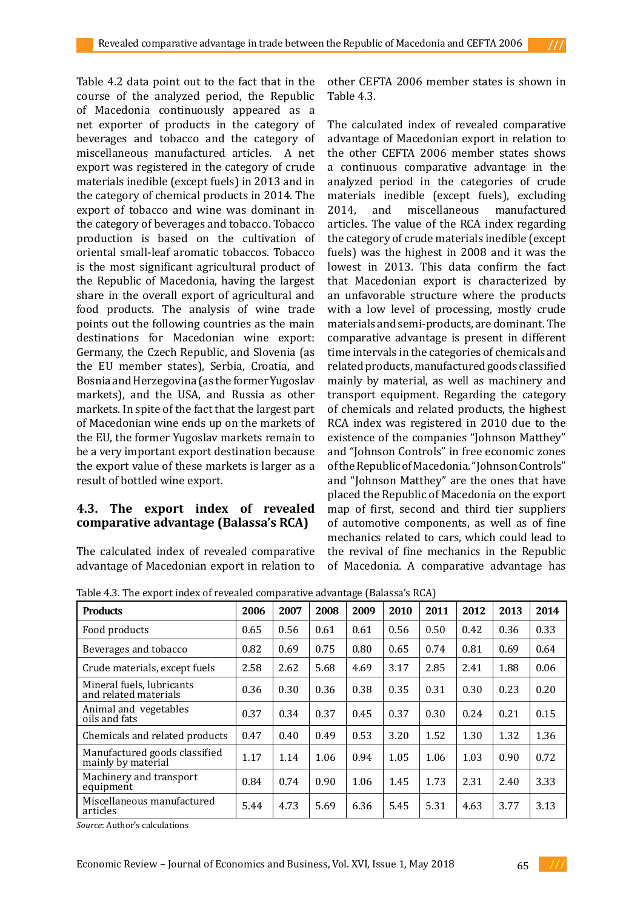Table 4.2 data point out to the fact that in the course of the analyzed period, the Republic of Macedonia continuously appeared as a net exporter of products in the category of beverages and tobacco and the category of miscellaneous manufactured articles. A net export was registered in the category of crude materials inedible (except fuels) in 2013 and in the category of chemical products in 2014. The export of tobacco and wine was dominant in the category of beverages and tobacco. Tobacco production is based on the cultivation of oriental small-leaf aromatic tobaccos. Tobacco is the most significant agricultural product of the Republic of Macedonia, having the largest share in the overall export of agricultural and food products. The analysis of wine trade points out the following countries as the main destinations for Macedonian wine export: Germany, the Czech Republic, and Slovenia (as the EU member states), Serbia, Croatia, and Bosnia and Herzegovina (as the former Yugoslav markets), and the USA, and Russia as other markets. In spite of the fact that the largest part of Macedonian wine ends up on the markets of the EU, the former Yugoslav markets remain to be a very important export destination because the export value of these markets is larger as a result of bottled wine export.

## **4.3. The export index of revealed comparative advantage (Balassa's RCA)**

The calculated index of revealed comparative advantage of Macedonian export in relation to other CEFTA 2006 member states is shown in Table 4.3.

The calculated index of revealed comparative advantage of Macedonian export in relation to the other CEFTA 2006 member states shows a continuous comparative advantage in the analyzed period in the categories of crude materials inedible (except fuels), excluding<br>2014, and miscellaneous manufactured miscellaneous manufactured articles. The value of the RCA index regarding the category of crude materials inedible (except fuels) was the highest in 2008 and it was the lowest in 2013. This data confirm the fact that Macedonian export is characterized by an unfavorable structure where the products with a low level of processing, mostly crude materials and semi-products, are dominant. The comparative advantage is present in different time intervals in the categories of chemicals and related products, manufactured goods classified mainly by material, as well as machinery and transport equipment. Regarding the category of chemicals and related products, the highest RCA index was registered in 2010 due to the existence of the companies "Johnson Matthey" and "Johnson Controls" in free economic zones of the Republic of Macedonia. "Johnson Controls" and "Johnson Matthey" are the ones that have placed the Republic of Macedonia on the export map of first, second and third tier suppliers of automotive components, as well as of fine mechanics related to cars, which could lead to the revival of fine mechanics in the Republic of Macedonia. A comparative advantage has

Table 4.3. The export index of revealed comparative advantage (Balassa's RCA)

| <b>Products</b>                                     | 2006 | 2007 | 2008 | 2009 | 2010 | 2011 | 2012 | 2013 | 2014 |
|-----------------------------------------------------|------|------|------|------|------|------|------|------|------|
| Food products                                       | 0.65 | 0.56 | 0.61 | 0.61 | 0.56 | 0.50 | 0.42 | 0.36 | 0.33 |
| Beverages and tobacco                               | 0.82 | 0.69 | 0.75 | 0.80 | 0.65 | 0.74 | 0.81 | 0.69 | 0.64 |
| Crude materials, except fuels                       | 2.58 | 2.62 | 5.68 | 4.69 | 3.17 | 2.85 | 2.41 | 1.88 | 0.06 |
| Mineral fuels, lubricants<br>and related materials  | 0.36 | 0.30 | 0.36 | 0.38 | 0.35 | 0.31 | 0.30 | 0.23 | 0.20 |
| Animal and vegetables<br>oils and fats              | 0.37 | 0.34 | 0.37 | 0.45 | 0.37 | 0.30 | 0.24 | 0.21 | 0.15 |
| Chemicals and related products                      | 0.47 | 0.40 | 0.49 | 0.53 | 3.20 | 1.52 | 1.30 | 1.32 | 1.36 |
| Manufactured goods classified<br>mainly by material | 1.17 | 1.14 | 1.06 | 0.94 | 1.05 | 1.06 | 1.03 | 0.90 | 0.72 |
| Machinery and transport<br>equipment                | 0.84 | 0.74 | 0.90 | 1.06 | 1.45 | 1.73 | 2.31 | 2.40 | 3.33 |
| Miscellaneous manufactured<br>articles              | 5.44 | 4.73 | 5.69 | 6.36 | 5.45 | 5.31 | 4.63 | 3.77 | 3.13 |

*Source*: Author's calculations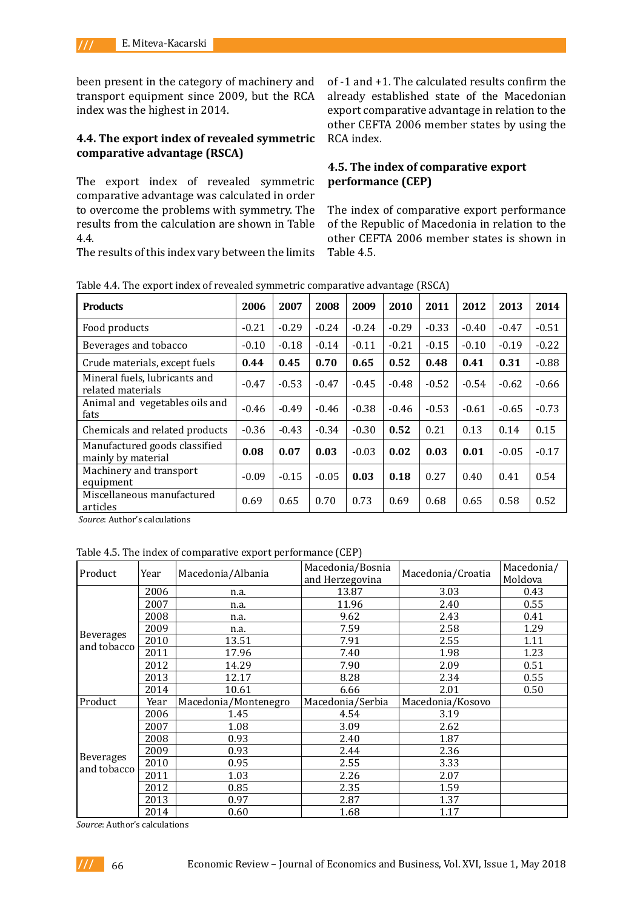been present in the category of machinery and transport equipment since 2009, but the RCA index was the highest in 2014.

## **4.4. The export index of revealed symmetric comparative advantage (RSCA)**

The export index of revealed symmetric comparative advantage was calculated in order to overcome the problems with symmetry. The results from the calculation are shown in Table 4.4.

The results of this index vary between the limits

of -1 and +1. The calculated results confirm the already established state of the Macedonian export comparative advantage in relation to the other CEFTA 2006 member states by using the RCA index.

## **4.5. The index of comparative export performance (CEP)**

The index of comparative export performance of the Republic of Macedonia in relation to the other CEFTA 2006 member states is shown in Table 4.5.

| <b>Products</b>                                     | 2006    | 2007    | 2008    | 2009    | 2010    | 2011    | 2012    | 2013    | 2014    |
|-----------------------------------------------------|---------|---------|---------|---------|---------|---------|---------|---------|---------|
| Food products                                       | $-0.21$ | $-0.29$ | $-0.24$ | $-0.24$ | $-0.29$ | $-0.33$ | $-0.40$ | $-0.47$ | $-0.51$ |
| Beverages and tobacco                               | $-0.10$ | $-0.18$ | $-0.14$ | $-0.11$ | $-0.21$ | $-0.15$ | $-0.10$ | $-0.19$ | $-0.22$ |
| Crude materials, except fuels                       | 0.44    | 0.45    | 0.70    | 0.65    | 0.52    | 0.48    | 0.41    | 0.31    | $-0.88$ |
| Mineral fuels, lubricants and<br>related materials  | $-0.47$ | $-0.53$ | $-0.47$ | $-0.45$ | $-0.48$ | $-0.52$ | $-0.54$ | $-0.62$ | $-0.66$ |
| Animal and vegetables oils and<br>fats              | $-0.46$ | $-0.49$ | $-0.46$ | $-0.38$ | $-0.46$ | $-0.53$ | $-0.61$ | $-0.65$ | $-0.73$ |
| Chemicals and related products                      | $-0.36$ | $-0.43$ | $-0.34$ | $-0.30$ | 0.52    | 0.21    | 0.13    | 0.14    | 0.15    |
| Manufactured goods classified<br>mainly by material | 0.08    | 0.07    | 0.03    | $-0.03$ | 0.02    | 0.03    | 0.01    | $-0.05$ | $-0.17$ |
| Machinery and transport<br>equipment                | $-0.09$ | $-0.15$ | $-0.05$ | 0.03    | 0.18    | 0.27    | 0.40    | 0.41    | 0.54    |
| Miscellaneous manufactured<br>articles              | 0.69    | 0.65    | 0.70    | 0.73    | 0.69    | 0.68    | 0.65    | 0.58    | 0.52    |

Table 4.4. The export index of revealed symmetric comparative advantage (RSCA)

*Source*: Author's calculations

Table 4.5. The index of comparative export performance (CEP)

| Product                         | Year | Macedonia/Albania    | Macedonia/Bosnia<br>and Herzegovina | Macedonia/Croatia | Macedonia/<br>Moldova |
|---------------------------------|------|----------------------|-------------------------------------|-------------------|-----------------------|
|                                 | 2006 | n.a.                 | 13.87                               | 3.03              | 0.43                  |
|                                 | 2007 | n.a.                 | 11.96                               | 2.40              | 0.55                  |
|                                 | 2008 | n.a.                 | 9.62                                | 2.43              | 0.41                  |
|                                 | 2009 | n.a.                 | 7.59                                | 2.58              | 1.29                  |
| <b>Beverages</b>                | 2010 | 13.51                | 7.91                                | 2.55              | 1.11                  |
| and tobacco                     | 2011 | 17.96                | 7.40                                | 1.98              | 1.23                  |
|                                 | 2012 | 14.29                | 7.90                                | 2.09              | 0.51                  |
|                                 | 2013 | 12.17                | 8.28                                | 2.34              | 0.55                  |
|                                 | 2014 | 10.61                | 6.66                                | 2.01              | 0.50                  |
| Product                         | Year | Macedonia/Montenegro | Macedonia/Serbia                    | Macedonia/Kosovo  |                       |
|                                 | 2006 | 1.45                 | 4.54                                | 3.19              |                       |
|                                 | 2007 | 1.08                 | 3.09                                | 2.62              |                       |
|                                 | 2008 | 0.93                 | 2.40                                | 1.87              |                       |
|                                 | 2009 | 0.93                 | 2.44                                | 2.36              |                       |
| <b>Beverages</b><br>and tobacco | 2010 | 0.95                 | 2.55                                | 3.33              |                       |
|                                 | 2011 | 1.03                 | 2.26                                | 2.07              |                       |
|                                 | 2012 | 0.85                 | 2.35                                | 1.59              |                       |
|                                 | 2013 | 0.97                 | 2.87                                | 1.37              |                       |
|                                 | 2014 | 0.60                 | 1.68                                | 1.17              |                       |

*Source*: Author's calculations

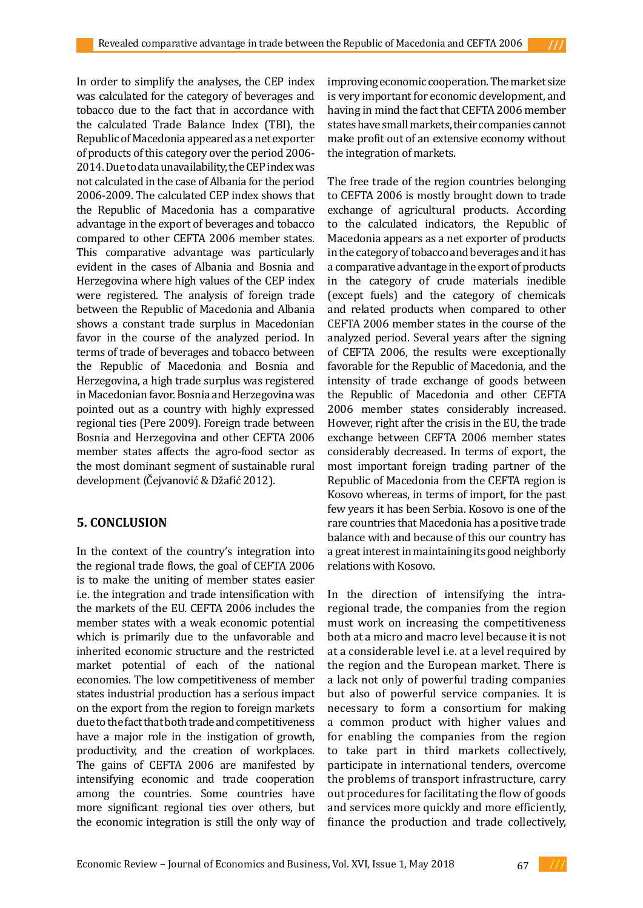In order to simplify the analyses, the CEP index was calculated for the category of beverages and tobacco due to the fact that in accordance with the calculated Trade Balance Index (TBI), the Republic of Macedonia appeared as a net exporter of products of this category over the period 2006- 2014. Due to data unavailability, the CEP index was not calculated in the case of Albania for the period 2006-2009. The calculated CEP index shows that the Republic of Macedonia has a comparative advantage in the export of beverages and tobacco compared to other CEFTA 2006 member states. This comparative advantage was particularly evident in the cases of Albania and Bosnia and Herzegovina where high values of the CEP index were registered. The analysis of foreign trade between the Republic of Macedonia and Albania shows a constant trade surplus in Macedonian favor in the course of the analyzed period. In terms of trade of beverages and tobacco between the Republic of Macedonia and Bosnia and Herzegovina, a high trade surplus was registered in Macedonian favor. Bosnia and Herzegovina was pointed out as a country with highly expressed regional ties (Pere 2009). Foreign trade between Bosnia and Herzegovina and other CEFTA 2006 member states affects the agro-food sector as the most dominant segment of sustainable rural development (Čejvanović & Džafić 2012).

# **5. CONCLUSION**

In the context of the country's integration into the regional trade flows, the goal of CEFTA 2006 is to make the uniting of member states easier i.e. the integration and trade intensification with the markets of the EU. CEFTA 2006 includes the member states with a weak economic potential which is primarily due to the unfavorable and inherited economic structure and the restricted market potential of each of the national economies. The low competitiveness of member states industrial production has a serious impact on the export from the region to foreign markets due to the fact that both trade and competitiveness have a major role in the instigation of growth, productivity, and the creation of workplaces. The gains of CEFTA 2006 are manifested by intensifying economic and trade cooperation among the countries. Some countries have more significant regional ties over others, but the economic integration is still the only way of

improving economic cooperation. The market size is very important for economic development, and having in mind the fact that CEFTA 2006 member states have small markets, their companies cannot make profit out of an extensive economy without the integration of markets.

The free trade of the region countries belonging to CEFTA 2006 is mostly brought down to trade exchange of agricultural products. According to the calculated indicators, the Republic of Macedonia appears as a net exporter of products in the category of tobacco and beverages and it has a comparative advantage in the export of products in the category of crude materials inedible (except fuels) and the category of chemicals and related products when compared to other CEFTA 2006 member states in the course of the analyzed period. Several years after the signing of CEFTA 2006, the results were exceptionally favorable for the Republic of Macedonia, and the intensity of trade exchange of goods between the Republic of Macedonia and other CEFTA 2006 member states considerably increased. However, right after the crisis in the EU, the trade exchange between CEFTA 2006 member states considerably decreased. In terms of export, the most important foreign trading partner of the Republic of Macedonia from the CEFTA region is Kosovo whereas, in terms of import, for the past few years it has been Serbia. Kosovo is one of the rare countries that Macedonia has a positive trade balance with and because of this our country has a great interest in maintaining its good neighborly relations with Kosovo.

In the direction of intensifying the intraregional trade, the companies from the region must work on increasing the competitiveness both at a micro and macro level because it is not at a considerable level i.e. at a level required by the region and the European market. There is a lack not only of powerful trading companies but also of powerful service companies. It is necessary to form a consortium for making a common product with higher values and for enabling the companies from the region to take part in third markets collectively, participate in international tenders, overcome the problems of transport infrastructure, carry out procedures for facilitating the flow of goods and services more quickly and more efficiently, finance the production and trade collectively,

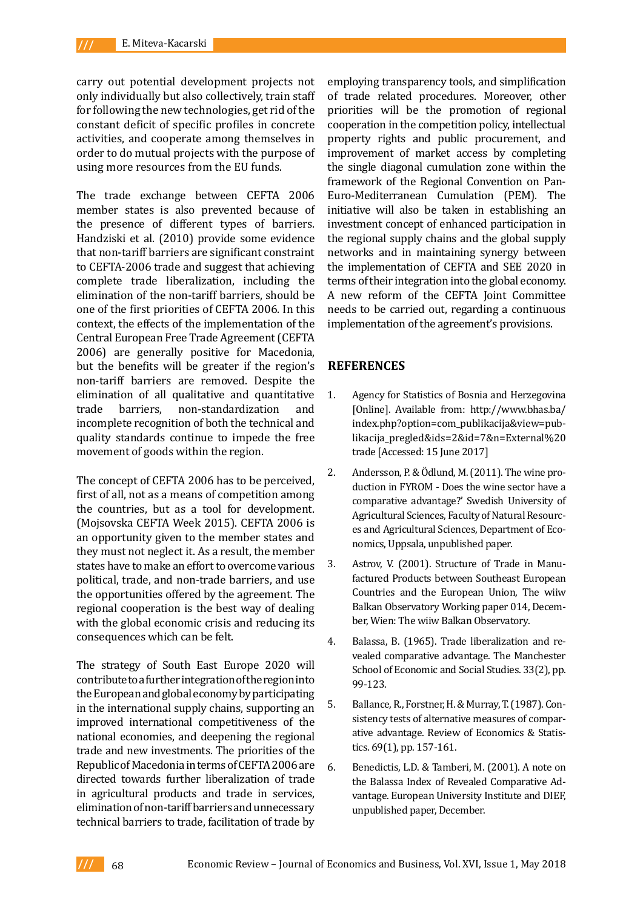carry out potential development projects not only individually but also collectively, train staff for following the new technologies, get rid of the constant deficit of specific profiles in concrete activities, and cooperate among themselves in order to do mutual projects with the purpose of using more resources from the EU funds.

The trade exchange between CEFTA 2006 member states is also prevented because of the presence of different types of barriers. Handziski et al. (2010) provide some evidence that non-tariff barriers are significant constraint to CEFTA-2006 trade and suggest that achieving complete trade liberalization, including the elimination of the non-tariff barriers, should be one of the first priorities of CEFTA 2006. In this context, the effects of the implementation of the Central European Free Trade Agreement (CEFTA 2006) are generally positive for Macedonia, but the benefits will be greater if the region's non-tariff barriers are removed. Despite the elimination of all qualitative and quantitative<br>trade barriers. non-standardization and non-standardization incomplete recognition of both the technical and quality standards continue to impede the free movement of goods within the region.

The concept of CEFTA 2006 has to be perceived, first of all, not as a means of competition among the countries, but as a tool for development. (Mojsovska CEFTA Week 2015). CEFTA 2006 is an opportunity given to the member states and they must not neglect it. As a result, the member states have to make an effort to overcome various political, trade, and non-trade barriers, and use the opportunities offered by the agreement. The regional cooperation is the best way of dealing with the global economic crisis and reducing its consequences which can be felt.

The strategy of South East Europe 2020 will contribute to a further integration of the region into the European and global economy by participating in the international supply chains, supporting an improved international competitiveness of the national economies, and deepening the regional trade and new investments. The priorities of the Republic of Macedonia in terms of CEFTA 2006 are directed towards further liberalization of trade in agricultural products and trade in services, elimination of non-tariff barriers and unnecessary technical barriers to trade, facilitation of trade by employing transparency tools, and simplification of trade related procedures. Moreover, other priorities will be the promotion of regional cooperation in the competition policy, intellectual property rights and public procurement, and improvement of market access by completing the single diagonal cumulation zone within the framework of the Regional Convention on Pan-Euro-Mediterranean Cumulation (PEM). The initiative will also be taken in establishing an investment concept of enhanced participation in the regional supply chains and the global supply networks and in maintaining synergy between the implementation of CEFTA and SEE 2020 in terms of their integration into the global economy. A new reform of the CEFTA Joint Committee needs to be carried out, regarding a continuous implementation of the agreement's provisions.

## **REFERENCES**

- 1. Agency for Statistics of Bosnia and Herzegovina [Online]. Available from: [http://www.bhas.ba/](http://www.bhas.ba/index.php?option=com_publikacija&view=publikacija_pregled&ids=2&id=7&n=External trade) [index.php?option=com\\_publikacija&view=pub](http://www.bhas.ba/index.php?option=com_publikacija&view=publikacija_pregled&ids=2&id=7&n=External trade)[likacija\\_pregled&ids=2&id=7&n=External%20](http://www.bhas.ba/index.php?option=com_publikacija&view=publikacija_pregled&ids=2&id=7&n=External trade) [trade](http://www.bhas.ba/index.php?option=com_publikacija&view=publikacija_pregled&ids=2&id=7&n=External trade) [Accessed: 15 June 2017]
- 2. Andersson, P. & Ödlund, M. (2011). The wine production in FYROM - Does the wine sector have a comparative advantage?' Swedish University of Agricultural Sciences, Faculty of Natural Resources and Agricultural Sciences, Department of Economics, Uppsala, unpublished paper.
- 3. Astrov, V. (2001). Structure of Trade in Manufactured Products between Southeast European Countries and the European Union, The wiiw Balkan Observatory Working paper 014, December, Wien: The wiiw Balkan Observatory.
- 4. Balassa, B. (1965). Trade liberalization and revealed comparative advantage. The Manchester School of Economic and Social Studies. 33(2), pp. 99-123.
- 5. Ballance, R., Forstner, H. & Murray, T. (1987). Consistency tests of alternative measures of comparative advantage. Review of Economics & Statistics. 69(1), pp. 157-161.
- 6. Benedictis, L.D. & Tamberi, M. (2001). A note on the Balassa Index of Revealed Comparative Advantage. European University Institute and DIEF, unpublished paper, December.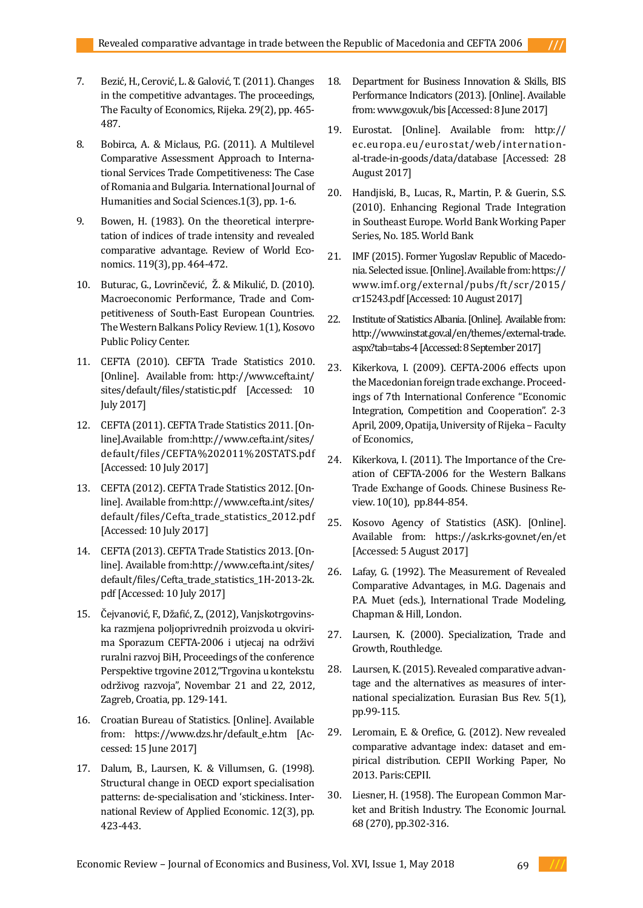- 7. Bezić, H., Cerović, L. & Galović, T. (2011). Changes in the competitive advantages. The proceedings, The Faculty of Economics, Rijeka. 29(2), pp. 465- 487.
- 8. Bobirca, A. & Miclaus, P.G. (2011). A Multilevel Comparative Assessment Approach to International Services Trade Competitiveness: The Case of Romania and Bulgaria. International Journal of Humanities and Social Sciences.1(3), pp. 1-6.
- 9. Bowen, H. (1983). On the theoretical interpretation of indices of trade intensity and revealed comparative advantage. Review of World Economics. 119(3), pp. 464-472.
- 10. Buturac, G., Lovrinčević, Ž. & Mikulić, D. (2010). Macroeconomic Performance, Trade and Competitiveness of South-East European Countries. The Western Balkans Policy Review. 1(1), Kosovo Public Policy Center.
- 11. CEFTA (2010). CEFTA Trade Statistics 2010. [Online]. Available from: [http://www.cefta.int/](http://www.cefta.int/sites/default/files/statistic.pdf) [sites/default/files/statistic.pdf](http://www.cefta.int/sites/default/files/statistic.pdf) [Accessed: 10 July 2017]
- 12. CEFTA (2011). CEFTA Trade Statistics 2011. [Online].Available from[:http://www.cefta.int/sites/](http://www.cefta.int/sites/default/files/CEFTA 2011 STATS.pdf) [default/files/CEFTA%202011%20STATS.pdf](http://www.cefta.int/sites/default/files/CEFTA 2011 STATS.pdf)  [Accessed: 10 July 2017]
- 13. CEFTA (2012). CEFTA Trade Statistics 2012. [Online]. Available from[:http://www.cefta.int/sites/](http://www.cefta.int/sites/default/files/Cefta_trade_statistics_2012.pdf) [default/files/Cefta\\_trade\\_statistics\\_2012.pdf](http://www.cefta.int/sites/default/files/Cefta_trade_statistics_2012.pdf)  [Accessed: 10 July 2017]
- 14. CEFTA (2013). CEFTA Trade Statistics 2013. [Online]. Available from[:http://www.cefta.int/sites/](http://www.cefta.int/sites/default/files/Cefta_trade_statistics_1H-2013-2k.pdf) [default/files/Cefta\\_trade\\_statistics\\_1H-2013-2k.](http://www.cefta.int/sites/default/files/Cefta_trade_statistics_1H-2013-2k.pdf) [pdf](http://www.cefta.int/sites/default/files/Cefta_trade_statistics_1H-2013-2k.pdf) [Accessed: 10 July 2017]
- 15. Čejvanović, F., Džafić, Z., (2012), Vanjskotrgovinska razmjena poljoprivrednih proizvoda u okvirima Sporazum CEFTA-2006 i utjecaj na održivi ruralni razvoj BiH, Proceedings of the conference Perspektive trgovine 2012,"Trgovina u kontekstu održivog razvoja", Novembar 21 and 22, 2012, Zagreb, Croatia, pp. 129-141.
- 16. Croatian Bureau of Statistics. [Online]. Available from: https://www.dzs.hr/default\_e.htm [Accessed: 15 June 2017]
- 17. Dalum, B., Laursen, K. & Villumsen, G. (1998). Structural change in OECD export specialisation patterns: de-specialisation and 'stickiness. International Review of Applied Economic. 12(3), pp. 423-443.
- 18. Department for Business Innovation & Skills, BIS Performance Indicators (2013). [Online]. Available from: [www.gov.uk/bis](http://www.gov.uk/bis) [Accessed: 8 June 2017]
- 19. Eurostat. [Online]. Available from: [http://](http://ec.europa.eu/eurostat/web/international-trade-in-goods/data/database) [ec.europa.eu/eurostat/web/internation](http://ec.europa.eu/eurostat/web/international-trade-in-goods/data/database)[al-trade-in-goods/data/database](http://ec.europa.eu/eurostat/web/international-trade-in-goods/data/database) [Accessed: 28 August 2017]
- 20. Handjiski, B., Lucas, R., Martin, P. & Guerin, S.S. (2010). Enhancing Regional Trade Integration in Southeast Europe. World Bank Working Paper Series, No. 185. World Bank
- 21. IMF (2015). Former Yugoslav Republic of Macedonia. Selected issue. [Online]. Available from: [https://](https://www.imf.org/external/pubs/ft/scr/2015/cr15243.pdf) [www.imf.org/external/pubs/ft/scr/2015/](https://www.imf.org/external/pubs/ft/scr/2015/cr15243.pdf) [cr15243.pdf](https://www.imf.org/external/pubs/ft/scr/2015/cr15243.pdf) [Accessed: 10 August 2017]
- 22. Institute of Statistics Albania. [Online]. Available from: [http://www.instat.gov.al/en/themes/external-trade.](http://www.instat.gov.al/en/themes/external-trade.aspx?tab=tabs-4) [aspx?tab=tabs-4](http://www.instat.gov.al/en/themes/external-trade.aspx?tab=tabs-4) [Accessed: 8 September 2017]
- 23. Kikerkova, I. (2009). CEFTA-2006 effects upon the Macedonian foreign trade exchange. Proceedings of 7th International Conference "Economic Integration, Competition and Cooperation". 2-3 April, 2009, Opatija, University of Rijeka – Faculty of Economics,
- 24. Kikerkova, I. (2011). The Importance of the Creation of CEFTA-2006 for the Western Balkans Trade Exchange of Goods. Chinese Business Review. 10(10), pp.844-854.
- 25. Kosovo Agency of Statistics (ASK). [Online]. Available from: <https://ask.rks-gov.net/en/et> [Accessed: 5 August 2017]
- 26. Lafay, G. (1992). The Measurement of Revealed Comparative Advantages, in M.G. Dagenais and P.A. Muet (eds.), International Trade Modeling, Chapman & Hill, London.
- 27. Laursen, K. (2000). Specialization, Trade and Growth, Routhledge.
- 28. Laursen, K. (2015). Revealed comparative advantage and the alternatives as measures of international specialization. Eurasian Bus Rev. 5(1), pp.99-115.
- 29. Leromain, E. & Orefice, G. (2012). New revealed comparative advantage index: dataset and empirical distribution. CEPII Working Paper, No 2013. Paris:CEPII.
- 30. Liesner, H. (1958). The European Common Market and British Industry. The Economic Journal. 68 (270), pp.302-316.

69